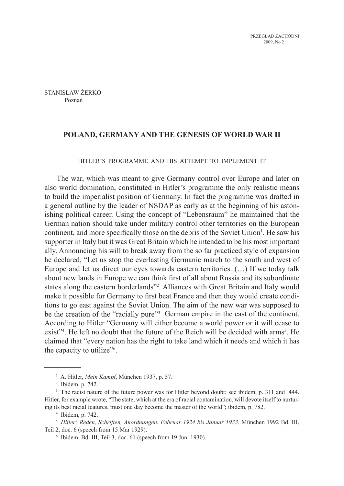Stanisław Żerko Poznań

# **Poland, Germany and the Genesis of World War II**

## Hitler's programme and his attempt to implement it

The war, which was meant to give Germany control over Europe and later on also world domination, constituted in Hitler's programme the only realistic means to build the imperialist position of Germany. In fact the programme was drafted in a general outline by the leader of NSDAP as early as at the beginning of his astonishing political career. Using the concept of "Lebensraum" he maintained that the German nation should take under military control other territories on the European continent, and more specifically those on the debris of the Soviet Union<sup>1</sup>. He saw his supporter in Italy but it was Great Britain which he intended to be his most important ally. Announcing his will to break away from the so far practiced style of expansion he declared, "Let us stop the everlasting Germanic march to the south and west of Europe and let us direct our eyes towards eastern territories. (…) If we today talk about new lands in Europe we can think first of all about Russia and its subordinate states along the eastern borderlands"<sup>2</sup> . Alliances with Great Britain and Italy would make it possible for Germany to first beat France and then they would create conditions to go east against the Soviet Union. The aim of the new war was supposed to be the creation of the "racially pure"<sup>3</sup> German empire in the east of the continent. According to Hitler "Germany will either become a world power or it will cease to exist"<sup>4</sup>. He left no doubt that the future of the Reich will be decided with arms<sup>5</sup>. He claimed that "every nation has the right to take land which it needs and which it has the capacity to utilize<sup>"6</sup>.

<sup>1</sup> A. Hitler, *Mein Kampf*, München 1937, p. 57.

<sup>2</sup> Ibidem, p. 742.

<sup>&</sup>lt;sup>3</sup> The racist nature of the future power was for Hitler beyond doubt; see ibidem, p. 311 and 444. Hitler, for example wrote, "The state, which at the era of racial contamination, will devote itself to nurturing its best racial features, must one day become the master of the world"; ibidem, p. 782.

<sup>4</sup> Ibidem, p. 742.

<sup>5</sup> *Hitler: Reden, Schriften, Anordnungen. Februar 1924 bis Januar 1933*, München 1992 Bd. III, Teil 2, doc. 6 (speech from 15 Mar 1929).

<sup>6</sup> Ibidem, Bd. III, Teil 3, doc. 61 (speech from 19 Juni 1930).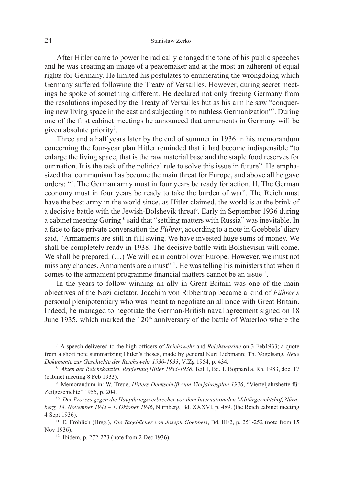After Hitler came to power he radically changed the tone of his public speeches and he was creating an image of a peacemaker and at the most an adherent of equal rights for Germany. He limited his postulates to enumerating the wrongdoing which Germany suffered following the Treaty of Versailles. However, during secret meetings he spoke of something different. He declared not only freeing Germany from the resolutions imposed by the Treaty of Versailles but as his aim he saw "conquering new living space in the east and subjecting it to ruthless Germanization"7 . During one of the first cabinet meetings he announced that armaments in Germany will be given absolute priority<sup>8</sup>.

Three and a half years later by the end of summer in 1936 in his memorandum concerning the four-year plan Hitler reminded that it had become indispensible "to enlarge the living space, that is the raw material base and the staple food reserves for our nation. It is the task of the political rule to solve this issue in future". He emphasized that communism has become the main threat for Europe, and above all he gave orders: "I. The German army must in four years be ready for action. II. The German economy must in four years be ready to take the burden of war". The Reich must have the best army in the world since, as Hitler claimed, the world is at the brink of a decisive battle with the Jewish-Bolshevik threat<sup>9</sup>. Early in September 1936 during a cabinet meeting Göring<sup>10</sup> said that "settling matters with Russia" was inevitable. In a face to face private conversation the *Führer*, according to a note in Goebbels' diary said, "Armaments are still in full swing. We have invested huge sums of money. We shall be completely ready in 1938. The decisive battle with Bolshevism will come. We shall be prepared. (…) We will gain control over Europe. However, we must not miss any chances. Armaments are a must"<sup>11</sup>. He was telling his ministers that when it comes to the armament programme financial matters cannot be an issue<sup>12</sup>.

In the years to follow winning an ally in Great Britain was one of the main objectives of the Nazi dictator. Joachim von Ribbentrop became a kind of *Führer's*  personal plenipotentiary who was meant to negotiate an alliance with Great Britain. Indeed, he managed to negotiate the German-British naval agreement signed on 18 June 1935, which marked the 120<sup>th</sup> anniversary of the battle of Waterloo where the

<sup>7</sup> A speech delivered to the high officers of *Reichswehr* and *Reichsmarine* on 3 Feb1933; a quote from a short note summarizing Hitler's theses, made by general Kurt Liebmann; Th. Vogelsang, *Neue Dokumente zur Geschichte der Reichswehr 1930-1933*, VfZg 1954, p. 434.

<sup>8</sup> *Akten der Reichskanzlei. Regierung Hitler 1933-1938*, Teil 1, Bd. 1, Boppard a. Rh. 1983, doc. 17 (cabinet meeting 8 Feb 1933).

<sup>9</sup> Memorandum in: W. Treue, *Hitlers Denkschrift zum Vierjahresplan 1936*, "Vierteljahrshefte für Zeitgeschichte" 1955, p. 204.

<sup>&</sup>lt;sup>10</sup> Der Prozess gegen die Hauptkriegsverbrecher vor dem Internationalen Militärgerichtshof, Nürn*berg, 14. November 1945 – 1. Oktober 1946*, Nürnberg, Bd. XXXVI, p. 489. (the Reich cabinet meeting 4 Sept 1936).

<sup>11</sup> E. Fröhlich (Hrsg.), *Die Tagebücher von Joseph Goebbels*, Bd. III/2, p. 251-252 (note from 15 Nov 1936).

<sup>12</sup> Ibidem, p. 272-273 (note from 2 Dec 1936).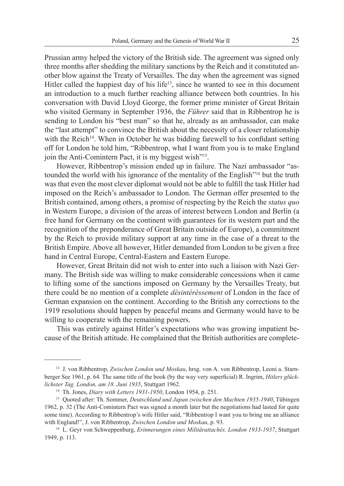Prussian army helped the victory of the British side. The agreement was signed only three months after shedding the military sanctions by the Reich and it constituted another blow against the Treaty of Versailles. The day when the agreement was signed Hitler called the happiest day of his life<sup>13</sup>, since he wanted to see in this document an introduction to a much further reaching alliance between both countries. In his conversation with David Lloyd George, the former prime minister of Great Britain who visited Germany in September 1936, the *Führer* said that in Ribbentrop he is sending to London his "best man" so that he, already as an ambassador, can make the "last attempt" to convince the British about the necessity of a closer relationship with the Reich<sup>14</sup>. When in October he was bidding farewell to his confidant setting off for London he told him, "Ribbentrop, what I want from you is to make England join the Anti-Comintern Pact, it is my biggest wish"<sup>15</sup>.

However, Ribbentrop's mission ended up in failure. The Nazi ambassador "astounded the world with his ignorance of the mentality of the English"<sup>16</sup> but the truth was that even the most clever diplomat would not be able to fulfill the task Hitler had imposed on the Reich's ambassador to London. The German offer presented to the British contained, among others, a promise of respecting by the Reich the *status quo* in Western Europe, a division of the areas of interest between London and Berlin (a free hand for Germany on the continent with guarantees for its western part and the recognition of the preponderance of Great Britain outside of Europe), a commitment by the Reich to provide military support at any time in the case of a threat to the British Empire. Above all however, Hitler demanded from London to be given a free hand in Central Europe, Central-Eastern and Eastern Europe.

However, Great Britain did not wish to enter into such a liaison with Nazi Germany. The British side was willing to make considerable concessions when it came to lifting some of the sanctions imposed on Germany by the Versailles Treaty, but there could be no mention of a complete *désintéréssement* of London in the face of German expansion on the continent. According to the British any corrections to the 1919 resolutions should happen by peaceful means and Germany would have to be willing to cooperate with the remaining powers.

This was entirely against Hitler's expectations who was growing impatient because of the British attitude. He complained that the British authorities are complete-

<sup>13</sup> J. von Ribbentrop, *Zwischen London und Moskau*, hrsg. von A. von Ribbentrop, Leoni a. Starnberger See 1961, p. 64. The same title of the book (by the way very superficial) R. Ingrim, *Hitlers glücklichster Tag. London, am 18. Juni 1935*, Stuttgart 1962.

<sup>14</sup> Th. Jones, *Diary with Letters 1931-1950*, London 1954, p. 251.

<sup>15</sup> Quoted after: Th. Sommer, *Deutschland und Japan zwischen den Machten 1935-1940*, Tübingen 1962, p. 32 (The Anti-Comintern Pact was signed a month later but the negotiations had lasted for quite some time). According to Ribbentrop's wife Hitler said, "Ribbentrop I want you to bring me an alliance with England!", J. von Ribbentrop, *Zwischen London und Moskau*, p. 93.

<sup>16</sup> L. Geyr von Schweppenburg, *Erinnerungen eines Militärattachés. London 1933-1937*, Stuttgart 1949, p. 113.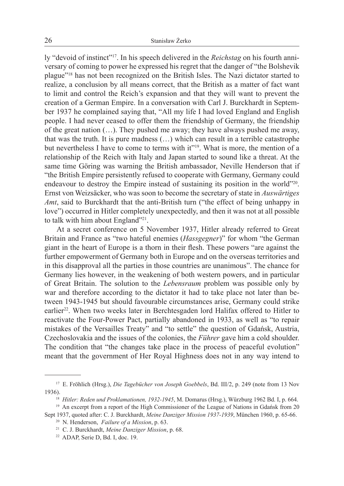ly "devoid of instinct"17. In his speech delivered in the *Reichstag* on his fourth anniversary of coming to power he expressed his regret that the danger of "the Bolshevik plague"18 has not been recognized on the British Isles. The Nazi dictator started to realize, a conclusion by all means correct, that the British as a matter of fact want to limit and control the Reich's expansion and that they will want to prevent the creation of a German Empire. In a conversation with Carl J. Burckhardt in September 1937 he complained saying that, "All my life I had loved England and English people. I had never ceased to offer them the friendship of Germany, the friendship of the great nation (…). They pushed me away; they have always pushed me away, that was the truth. It is pure madness (…) which can result in a terrible catastrophe but nevertheless I have to come to terms with it"<sup>19</sup>. What is more, the mention of a relationship of the Reich with Italy and Japan started to sound like a threat. At the same time Göring was warning the British ambassador, Neville Henderson that if "the British Empire persistently refused to cooperate with Germany, Germany could endeavour to destroy the Empire instead of sustaining its position in the world"<sup>20</sup>. Ernst von Weizsäcker, who was soon to become the secretary of state in *Auswärtiges Amt*, said to Burckhardt that the anti-British turn ("the effect of being unhappy in love") occurred in Hitler completely unexpectedly, and then it was not at all possible to talk with him about England"<sup>21</sup>.

At a secret conference on 5 November 1937, Hitler already referred to Great Britain and France as "two hateful enemies (*Hassgegner*)" for whom "the German giant in the heart of Europe is a thorn in their flesh. These powers "are against the further empowerment of Germany both in Europe and on the overseas territories and in this disapproval all the parties in those countries are unanimous". The chance for Germany lies however, in the weakening of both western powers, and in particular of Great Britain. The solution to the *Lebensraum* problem was possible only by war and therefore according to the dictator it had to take place not later than between 1943-1945 but should favourable circumstances arise, Germany could strike earlier<sup>22</sup>. When two weeks later in Berchtesgaden lord Halifax offered to Hitler to reactivate the Four-Power Pact, partially abandoned in 1933, as well as "to repair mistakes of the Versailles Treaty" and "to settle" the question of Gdańsk, Austria, Czechoslovakia and the issues of the colonies, the *Führer* gave him a cold shoulder. The condition that "the changes take place in the process of peaceful evolution" meant that the government of Her Royal Highness does not in any way intend to

<sup>17</sup> E. Fröhlich (Hrsg.), *Die Tagebücher von Joseph Goebbels*, Bd. III/2, p. 249 (note from 13 Nov 1936).

<sup>18</sup> *Hitler: Reden und Proklamationen, 1932-1945*, M. Domarus (Hrsg.), Würzburg 1962 Bd. I, p. 664.

<sup>&</sup>lt;sup>19</sup> An excerpt from a report of the High Commissioner of the League of Nations in Gdańsk from 20 Sept 1937, quoted after: C. J. Burckhardt, *Meine Danziger Mission 1937-1939*, München 1960, p. 65-66.

<sup>20</sup> N. Henderson, *Failure of a Mission*, p. 63.

<sup>21</sup> C. J. Burckhardt, *Meine Danziger Mission*, p. 68.

<sup>22</sup> ADAP, Serie D, Bd. I, doc. 19.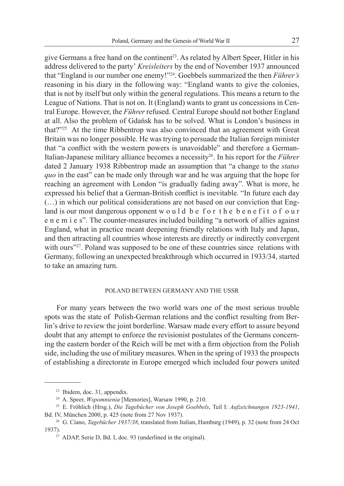give Germans a free hand on the continent<sup>23</sup>. As related by Albert Speer, Hitler in his address delivered to the party' *Kreisleiters* by the end of November 1937 announced that "England is our number one enemy!"<sup>24</sup>. Goebbels summarized the then *Führer's*  reasoning in his diary in the following way: "England wants to give the colonies, that is not by itself but only within the general regulations. This means a return to the League of Nations. That is not on. It (England) wants to grant us concessions in Central Europe. However, the *Führer* refused. Central Europe should not bother England at all. Also the problem of Gdańsk has to be solved. What is London's business in that? $125$  At the time Ribbentrop was also convinced that an agreement with Great Britain was no longer possible. He was trying to persuade the Italian foreign minister that "a conflict with the western powers is unavoidable" and therefore a German-Italian-Japanese military alliance becomes a necessity<sup>26</sup>. In his report for the *Führer* dated 2 January 1938 Ribbentrop made an assumption that "a change to the *status quo* in the east" can be made only through war and he was arguing that the hope for reaching an agreement with London "is gradually fading away". What is more, he expressed his belief that a German-British conflict is inevitable. "In future each day (…) in which our political considerations are not based on our conviction that England is our most dangerous opponent w o u l d b e f o r t h e b e n e f i t o f o u r e n e m i e s". The counter-measures included building "a network of allies against England, what in practice meant deepening friendly relations with Italy and Japan, and then attracting all countries whose interests are directly or indirectly convergent with ours"<sup>27</sup>. Poland was supposed to be one of these countries since relations with Germany, following an unexpected breakthrough which occurred in 1933/34, started to take an amazing turn.

# Poland between Germany and the USSR

For many years between the two world wars one of the most serious trouble spots was the state of Polish-German relations and the conflict resulting from Berlin's drive to review the joint borderline. Warsaw made every effort to assure beyond doubt that any attempt to enforce the revisionist postulates of the Germans concerning the eastern border of the Reich will be met with a firm objection from the Polish side, including the use of military measures. When in the spring of 1933 the prospects of establishing a directorate in Europe emerged which included four powers united

<sup>23</sup> Ibidem, doc. 31, appendix.

<sup>24</sup> A. Speer, *Wspomnienia* [Memories], Warsaw 1990, p. 210.

<sup>25</sup> E. Fröhlich (Hrsg.), *Die Tagebücher von Joseph Goebbels*, Teil I: *Aufzeichnungen 1923-1941*, Bd. IV, München 2000, p. 425 (note from 27 Nov 1937).

<sup>&</sup>lt;sup>26</sup> G. Ciano, *Tagebücher 1937/38*, translated from Italian, Hamburg (1949), p. 32 (note from 24 Oct 1937).

<sup>27</sup> ADAP, Serie D, Bd. I, doc. 93 (underlined in the original).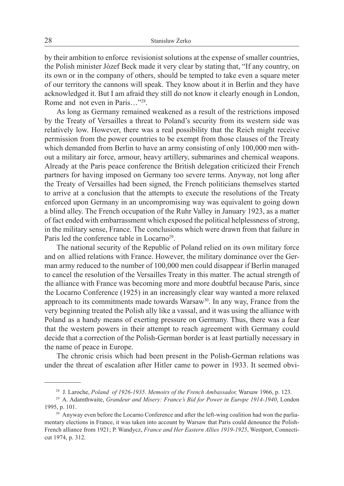by their ambition to enforce revisionist solutions at the expense of smaller countries, the Polish minister Józef Beck made it very clear by stating that, "If any country, on its own or in the company of others, should be tempted to take even a square meter of our territory the cannons will speak. They know about it in Berlin and they have acknowledged it. But I am afraid they still do not know it clearly enough in London, Rome and not even in Paris...<sup>"28</sup>.

As long as Germany remained weakened as a result of the restrictions imposed by the Treaty of Versailles a threat to Poland's security from its western side was relatively low. However, there was a real possibility that the Reich might receive permission from the power countries to be exempt from those clauses of the Treaty which demanded from Berlin to have an army consisting of only 100,000 men without a military air force, armour, heavy artillery, submarines and chemical weapons. Already at the Paris peace conference the British delegation criticized their French partners for having imposed on Germany too severe terms. Anyway, not long after the Treaty of Versailles had been signed, the French politicians themselves started to arrive at a conclusion that the attempts to execute the resolutions of the Treaty enforced upon Germany in an uncompromising way was equivalent to going down a blind alley. The French occupation of the Ruhr Valley in January 1923, as a matter of fact ended with embarrassment which exposed the political helplessness of strong, in the military sense, France. The conclusions which were drawn from that failure in Paris led the conference table in Locarno<sup>29</sup>.

The national security of the Republic of Poland relied on its own military force and on allied relations with France. However, the military dominance over the German army reduced to the number of 100,000 men could disappear if Berlin managed to cancel the resolution of the Versailles Treaty in this matter. The actual strength of the alliance with France was becoming more and more doubtful because Paris, since the Locarno Conference (1925) in an increasingly clear way wanted a more relaxed approach to its commitments made towards Warsaw<sup>30</sup>. In any way, France from the very beginning treated the Polish ally like a vassal, and it was using the alliance with Poland as a handy means of exerting pressure on Germany. Thus, there was a fear that the western powers in their attempt to reach agreement with Germany could decide that a correction of the Polish-German border is at least partially necessary in the name of peace in Europe.

The chronic crisis which had been present in the Polish-German relations was under the threat of escalation after Hitler came to power in 1933. It seemed obvi-

<sup>28</sup> J. Laroche, *Poland of 1926-1935. Memoirs of the French Ambassador,* Warsaw 1966, p. 123.

<sup>29</sup> A. Adamthwaite, *Grandeur and Misery: France's Bid for Power in Europe 1914-1940*, London 1995, p. 101.

<sup>&</sup>lt;sup>30</sup> Anyway even before the Locarno Conference and after the left-wing coalition had won the parliamentary elections in France, it was taken into account by Warsaw that Paris could denounce the Polish-French alliance from 1921; P. Wandycz, *France and Her Eastern Allies 1919-1925*, Westport, Connecticut 1974, p. 312.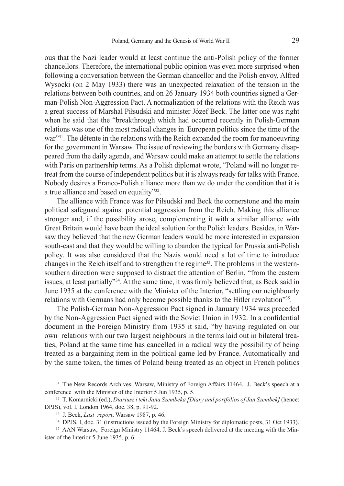ous that the Nazi leader would at least continue the anti-Polish policy of the former chancellors. Therefore, the international public opinion was even more surprised when following a conversation between the German chancellor and the Polish envoy, Alfred Wysocki (on 2 May 1933) there was an unexpected relaxation of the tension in the relations between both countries, and on 26 January 1934 both countries signed a German-Polish Non-Aggression Pact. A normalization of the relations with the Reich was a great success of Marshal Piłsudski and minister Józef Beck. The latter one was right when he said that the "breakthrough which had occurred recently in Polish-German relations was one of the most radical changes in European politics since the time of the war"<sup>31</sup>. The détente in the relations with the Reich expanded the room for manoeuvring for the government in Warsaw. The issue of reviewing the borders with Germany disappeared from the daily agenda, and Warsaw could make an attempt to settle the relations with Paris on partnership terms. As a Polish diplomat wrote, "Poland will no longer retreat from the course of independent politics but it is always ready for talks with France. Nobody desires a Franco-Polish alliance more than we do under the condition that it is a true alliance and based on equality"<sup>32</sup>.

The alliance with France was for Piłsudski and Beck the cornerstone and the main political safeguard against potential aggression from the Reich. Making this alliance stronger and, if the possibility arose, complementing it with a similar alliance with Great Britain would have been the ideal solution for the Polish leaders. Besides, in Warsaw they believed that the new German leaders would be more interested in expansion south-east and that they would be willing to abandon the typical for Prussia anti-Polish policy. It was also considered that the Nazis would need a lot of time to introduce changes in the Reich itself and to strengthen the regime<sup>33</sup>. The problems in the westernsouthern direction were supposed to distract the attention of Berlin, "from the eastern issues, at least partially"<sup>34</sup>. At the same time, it was firmly believed that, as Beck said in June 1935 at the conference with the Minister of the Interior, "settling our neighbourly relations with Germans had only become possible thanks to the Hitler revolution"<sup>35</sup>.

The Polish-German Non-Aggression Pact signed in January 1934 was preceded by the Non-Aggression Pact signed with the Soviet Union in 1932. In a confidential document in the Foreign Ministry from 1935 it said, "by having regulated on our own relations with our two largest neighbours in the terms laid out in bilateral treaties, Poland at the same time has cancelled in a radical way the possibility of being treated as a bargaining item in the political game led by France. Automatically and by the same token, the times of Poland being treated as an object in French politics

<sup>&</sup>lt;sup>31</sup> The New Records Archives. Warsaw, Ministry of Foreign Affairs 11464, J. Beck's speech at a conference with the Minister of the Interior 5 Jun 1935, p. 5.

<sup>32</sup> T. Komarnicki (ed.), *Diariusz i teki Jana Szembeka [Diary and portfolios of Jan Szembek]* (hence: DPJS), vol. I, London 1964, doc. 38, p. 91-92.

<sup>33</sup> J. Beck, *Last report*, Warsaw 1987, p. 46.

<sup>&</sup>lt;sup>34</sup> DPJS, I, doc. 31 (instructions issued by the Foreign Ministry for diplomatic posts, 31 Oct 1933).

<sup>&</sup>lt;sup>35</sup> AAN Warsaw, Foreign Ministry 11464, J. Beck's speech delivered at the meeting with the Minister of the Interior 5 June 1935, p. 6.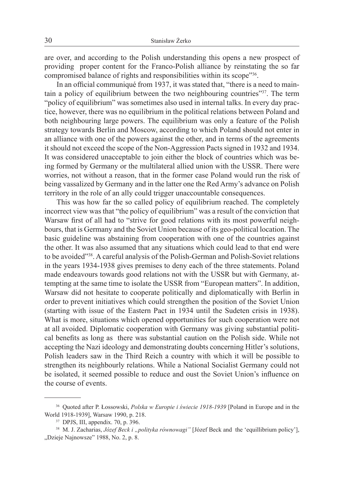are over, and according to the Polish understanding this opens a new prospect of providing proper content for the Franco-Polish alliance by reinstating the so far compromised balance of rights and responsibilities within its scope"<sup>36</sup>.

In an official communiqué from 1937, it was stated that, "there is a need to maintain a policy of equilibrium between the two neighbouring countries"37. The term "policy of equilibrium" was sometimes also used in internal talks. In every day practice, however, there was no equilibrium in the political relations between Poland and both neighbouring large powers. The equilibrium was only a feature of the Polish strategy towards Berlin and Moscow, according to which Poland should not enter in an alliance with one of the powers against the other, and in terms of the agreements it should not exceed the scope of the Non-Aggression Pacts signed in 1932 and 1934. It was considered unacceptable to join either the block of countries which was being formed by Germany or the multilateral allied union with the USSR. There were worries, not without a reason, that in the former case Poland would run the risk of being vassalized by Germany and in the latter one the Red Army's advance on Polish territory in the role of an ally could trigger unaccountable consequences.

This was how far the so called policy of equilibrium reached. The completely incorrect view was that "the policy of equilibrium" was a result of the conviction that Warsaw first of all had to "strive for good relations with its most powerful neighbours, that is Germany and the Soviet Union because of its geo-political location. The basic guideline was abstaining from cooperation with one of the countries against the other. It was also assumed that any situations which could lead to that end were to be avoided"38. A careful analysis of the Polish-German and Polish-Soviet relations in the years 1934-1938 gives premises to deny each of the three statements. Poland made endeavours towards good relations not with the USSR but with Germany, attempting at the same time to isolate the USSR from "European matters". In addition, Warsaw did not hesitate to cooperate politically and diplomatically with Berlin in order to prevent initiatives which could strengthen the position of the Soviet Union (starting with issue of the Eastern Pact in 1934 until the Sudeten crisis in 1938). What is more, situations which opened opportunities for such cooperation were not at all avoided. Diplomatic cooperation with Germany was giving substantial political benefits as long as there was substantial caution on the Polish side. While not accepting the Nazi ideology and demonstrating doubts concerning Hitler's solutions, Polish leaders saw in the Third Reich a country with which it will be possible to strengthen its neighbourly relations. While a National Socialist Germany could not be isolated, it seemed possible to reduce and oust the Soviet Union's influence on the course of events.

<sup>36</sup> Quoted after P. Łossowski, *Polska w Europie i świecie 1918-1939* [Poland in Europe and in the World 1918-1939], Warsaw 1990, p. 218.

<sup>37</sup> DPJS, III, appendix. 70, p. 396.

<sup>&</sup>lt;sup>38</sup> M. J. Zacharias, *Józef Beck i "polityka równowagi"* [Józef Beck and the 'equillibrium policy'], "Dzieje Najnowsze" 1988, No. 2, p. 8.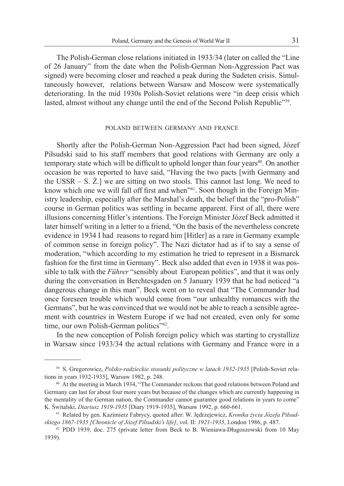The Polish-German close relations initiated in 1933/34 (later on called the "Line of 26 January" from the date when the Polish-German Non-Aggression Pact was signed) were becoming closer and reached a peak during the Sudeten crisis. Simultaneously however, relations between Warsaw and Moscow were systematically deteriorating. In the mid 1930s Polish-Soviet relations were "in deep crisis which lasted, almost without any change until the end of the Second Polish Republic<sup>739</sup>.

### POLAND BETWEEN GERMANY AND FRANCE

Shortly after the Polish-German Non-Aggression Pact had been signed, Józef Piłsudski said to his staff members that good relations with Germany are only a temporary state which will be difficult to uphold longer than four years<sup>40</sup>. On another occasion he was reported to have said, "Having the two pacts [with Germany and the USSR – S. Ż.] we are sitting on two stools. This cannot last long. We need to know which one we will fall off first and when<sup>"41</sup>. Soon though in the Foreign Ministry leadership, especially after the Marshal's death, the belief that the "pro-Polish" course in German politics was settling in became apparent. First of all, there were illusions concerning Hitler's intentions. The Foreign Minister Józef Beck admitted it later himself writing in a letter to a friend, "On the basis of the nevertheless concrete evidence in 1934 I had reasons to regard him [Hitler] as a rare in Germany example of common sense in foreign policy". The Nazi dictator had as if to say a sense of moderation, "which according to my estimation he tried to represent in a Bismarck fashion for the first time in Germany". Beck also added that even in 1938 it was possible to talk with the *Führer* "sensibly about European politics", and that it was only during the conversation in Berchtesgaden on 5 January 1939 that he had noticed "a dangerous change in this man". Beck went on to reveal that "The Commander had once foreseen trouble which would come from "our unhealthy romances with the Germans", but he was convinced that we would not be able to reach a sensible agreement with countries in Western Europe if we had not created, even only for some time, our own Polish-German politics"<sup>42</sup>.

In the new conception of Polish foreign policy which was starting to crystallize in Warsaw since 1933/34 the actual relations with Germany and France were in a

<sup>39</sup> S. Gregorowicz, *Polsko-radzieckie stosunki polityczne w latach 1932-1935* [Polish-Soviet relations in years 1932-1935], Warsaw 1982, p. 248.

<sup>40</sup> At the meeting in March 1934, "The Commander reckons that good relations between Poland and Germany can last for about four more years but because of the changes which are currently happening in the mentality of the German nation, the Commander cannot guarantee good relations in years to come" K. Świtalski, *Diariusz 1919-1935* [Diary 1919-1935], Warsaw 1992, p. 660-661.

<sup>41</sup> Related by gen. Kazimierz Fabrycy, quoted after: W. Jędrzejewicz, *Kronika życia Józefa Piłsudskiego 1867-1935 [Chronicle of Józef Piłsudski's life]*, vol. II: *1921-1935*, London 1986, p. 487.

<sup>42</sup> PDD 1939, doc. 275 (private letter from Beck to B. Wieniawa-Długoszowski from 10 May 1939).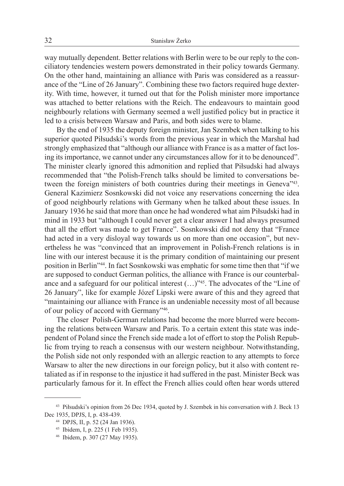way mutually dependent. Better relations with Berlin were to be our reply to the conciliatory tendencies western powers demonstrated in their policy towards Germany. On the other hand, maintaining an alliance with Paris was considered as a reassurance of the "Line of 26 January". Combining these two factors required huge dexterity. With time, however, it turned out that for the Polish minister more importance was attached to better relations with the Reich. The endeavours to maintain good neighbourly relations with Germany seemed a well justified policy but in practice it led to a crisis between Warsaw and Paris, and both sides were to blame.

By the end of 1935 the deputy foreign minister, Jan Szembek when talking to his superior quoted Piłsudski's words from the previous year in which the Marshal had strongly emphasized that "although our alliance with France is as a matter of fact losing its importance, we cannot under any circumstances allow for it to be denounced". The minister clearly ignored this admonition and replied that Piłsudski had always recommended that "the Polish-French talks should be limited to conversations between the foreign ministers of both countries during their meetings in Geneva"<sup>43</sup>. General Kazimierz Sosnkowski did not voice any reservations concerning the idea of good neighbourly relations with Germany when he talked about these issues. In January 1936 he said that more than once he had wondered what aim Piłsudski had in mind in 1933 but "although I could never get a clear answer I had always presumed that all the effort was made to get France". Sosnkowski did not deny that "France had acted in a very disloyal way towards us on more than one occasion", but nevertheless he was "convinced that an improvement in Polish-French relations is in line with our interest because it is the primary condition of maintaining our present position in Berlin"<sup>44</sup>. In fact Sosnkowski was emphatic for some time then that "if we are supposed to conduct German politics, the alliance with France is our counterbalance and a safeguard for our political interest (...)"45. The advocates of the "Line of 26 January", like for example Józef Lipski were aware of this and they agreed that "maintaining our alliance with France is an undeniable necessity most of all because of our policy of accord with Germany"<sup>46</sup>.

The closer Polish-German relations had become the more blurred were becoming the relations between Warsaw and Paris. To a certain extent this state was independent of Poland since the French side made a lot of effort to stop the Polish Republic from trying to reach a consensus with our western neighbour. Notwithstanding, the Polish side not only responded with an allergic reaction to any attempts to force Warsaw to alter the new directions in our foreign policy, but it also with content retaliated as if in response to the injustice it had suffered in the past. Minister Beck was particularly famous for it. In effect the French allies could often hear words uttered

<sup>43</sup> Piłsudski's opinion from 26 Dec 1934, quoted by J. Szembek in his conversation with J. Beck 13 Dec 1935, DPJS, I, p. 438-439.

<sup>44</sup> DPJS, II, p. 52 (24 Jan 1936).

<sup>45</sup> Ibidem, I, p. 225 (1 Feb 1935).

<sup>46</sup> Ibidem, p. 307 (27 May 1935).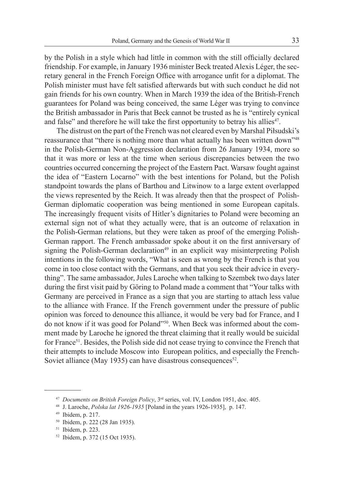by the Polish in a style which had little in common with the still officially declared friendship. For example, in January 1936 minister Beck treated Alexis Léger, the secretary general in the French Foreign Office with arrogance unfit for a diplomat. The Polish minister must have felt satisfied afterwards but with such conduct he did not gain friends for his own country. When in March 1939 the idea of the British-French guarantees for Poland was being conceived, the same Léger was trying to convince the British ambassador in Paris that Beck cannot be trusted as he is "entirely cynical and false" and therefore he will take the first opportunity to betray his allies<sup>47</sup>.

The distrust on the part of the French was not cleared even by Marshal Piłsudski's reassurance that "there is nothing more than what actually has been written down"<sup>48</sup> in the Polish-German Non-Aggression declaration from 26 January 1934, more so that it was more or less at the time when serious discrepancies between the two countries occurred concerning the project of the Eastern Pact. Warsaw fought against the idea of "Eastern Locarno" with the best intentions for Poland, but the Polish standpoint towards the plans of Barthou and Litwinow to a large extent overlapped the views represented by the Reich. It was already then that the prospect of Polish-German diplomatic cooperation was being mentioned in some European capitals. The increasingly frequent visits of Hitler's dignitaries to Poland were becoming an external sign not of what they actually were, that is an outcome of relaxation in the Polish-German relations, but they were taken as proof of the emerging Polish-German rapport. The French ambassador spoke about it on the first anniversary of signing the Polish-German declaration<sup>49</sup> in an explicit way misinterpreting Polish intentions in the following words, "What is seen as wrong by the French is that you come in too close contact with the Germans, and that you seek their advice in everything". The same ambassador, Jules Laroche when talking to Szembek two days later during the first visit paid by Göring to Poland made a comment that "Your talks with Germany are perceived in France as a sign that you are starting to attach less value to the alliance with France. If the French government under the pressure of public opinion was forced to denounce this alliance, it would be very bad for France, and I do not know if it was good for Poland"50. When Beck was informed about the comment made by Laroche he ignored the threat claiming that it really would be suicidal for France<sup>51</sup>. Besides, the Polish side did not cease trying to convince the French that their attempts to include Moscow into European politics, and especially the French-Soviet alliance (May 1935) can have disastrous consequences<sup>52</sup>.

<sup>47</sup> *Documents on British Foreign Policy*, 3rd series, vol. IV, London 1951, doc. 405.

<sup>48</sup> J. Laroche, *Polska lat 1926-1935* [Poland in the years 1926-1935], p. 147.

<sup>49</sup> Ibidem, p. 217.

<sup>50</sup> Ibidem, p. 222 (28 Jan 1935).

<sup>51</sup> Ibidem, p. 223.

<sup>52</sup> Ibidem, p. 372 (15 Oct 1935).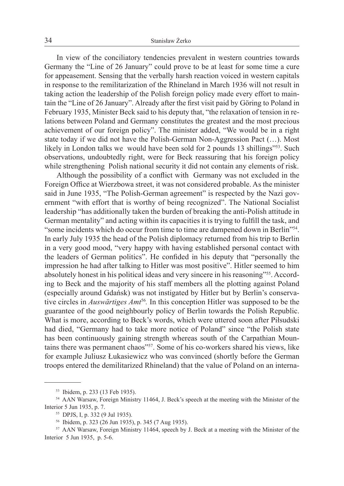In view of the conciliatory tendencies prevalent in western countries towards Germany the "Line of 26 January" could prove to be at least for some time a cure for appeasement. Sensing that the verbally harsh reaction voiced in western capitals in response to the remilitarization of the Rhineland in March 1936 will not result in taking action the leadership of the Polish foreign policy made every effort to maintain the "Line of 26 January". Already after the first visit paid by Göring to Poland in February 1935, Minister Beck said to his deputy that, "the relaxation of tension in relations between Poland and Germany constitutes the greatest and the most precious achievement of our foreign policy". The minister added, "We would be in a right state today if we did not have the Polish-German Non-Aggression Pact (…). Most likely in London talks we would have been sold for 2 pounds 13 shillings"<sup>53</sup>. Such observations, undoubtedly right, were for Beck reassuring that his foreign policy while strengthening Polish national security it did not contain any elements of risk.

Although the possibility of a conflict with Germany was not excluded in the Foreign Office at Wierzbowa street, it was not considered probable. As the minister said in June 1935, "The Polish-German agreement" is respected by the Nazi government "with effort that is worthy of being recognized". The National Socialist leadership "has additionally taken the burden of breaking the anti-Polish attitude in German mentality" and acting within its capacities it is trying to fulfill the task, and "some incidents which do occur from time to time are dampened down in Berlin"<sup>54</sup>. In early July 1935 the head of the Polish diplomacy returned from his trip to Berlin in a very good mood, "very happy with having established personal contact with the leaders of German politics". He confided in his deputy that "personally the impression he had after talking to Hitler was most positive". Hitler seemed to him absolutely honest in his political ideas and very sincere in his reasoning"<sup>555</sup>. According to Beck and the majority of his staff members all the plotting against Poland (especially around Gdańsk) was not instigated by Hitler but by Berlin's conservative circles in *Auswärtiges Amt*<sup>56</sup>. In this conception Hitler was supposed to be the guarantee of the good neighbourly policy of Berlin towards the Polish Republic. What is more, according to Beck's words, which were uttered soon after Piłsudski had died, "Germany had to take more notice of Poland" since "the Polish state has been continuously gaining strength whereas south of the Carpathian Mountains there was permanent chaos"57. Some of his co-workers shared his views, like for example Juliusz Łukasiewicz who was convinced (shortly before the German troops entered the demilitarized Rhineland) that the value of Poland on an interna-

<sup>53</sup> Ibidem, p. 233 (13 Feb 1935).

<sup>54</sup> AAN Warsaw, Foreign Ministry 11464, J. Beck's speech at the meeting with the Minister of the Interior 5 Jun 1935, p. 7.

<sup>55</sup> DPJS, I, p. 332 (9 Jul 1935).

<sup>&</sup>lt;sup>56</sup> Ibidem, p. 323 (26 Jun 1935), p. 345 (7 Aug 1935).<br><sup>57</sup> AAN Warsaw, Foreign Ministry 11464, speech by J. Beck at a meeting with the Minister of the Interior 5 Jun 1935, p. 5-6.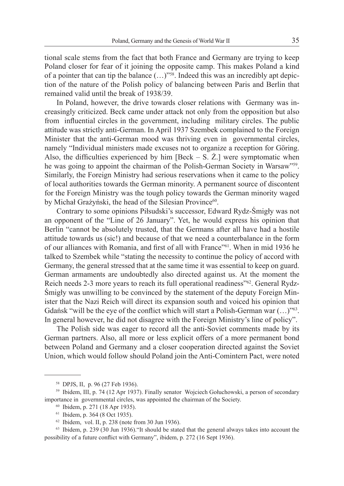tional scale stems from the fact that both France and Germany are trying to keep Poland closer for fear of it joining the opposite camp. This makes Poland a kind of a pointer that can tip the balance  $(...)$ <sup>"58</sup>. Indeed this was an incredibly apt depiction of the nature of the Polish policy of balancing between Paris and Berlin that remained valid until the break of 1938/39.

In Poland, however, the drive towards closer relations with Germany was increasingly criticized. Beck came under attack not only from the opposition but also from influential circles in the government, including military circles. The public attitude was strictly anti-German. In April 1937 Szembek complained to the Foreign Minister that the anti-German mood was thriving even in governmental circles, namely "Individual ministers made excuses not to organize a reception for Göring. Also, the difficulties experienced by him [Beck  $-$  S.  $Z$ .] were symptomatic when he was going to appoint the chairman of the Polish-German Society in Warsaw"<sup>59</sup>. Similarly, the Foreign Ministry had serious reservations when it came to the policy of local authorities towards the German minority. A permanent source of discontent for the Foreign Ministry was the tough policy towards the German minority waged by Michał Grażyński, the head of the Silesian Province<sup>60</sup>.

Contrary to some opinions Piłsudski's successor, Edward Rydz-Śmigły was not an opponent of the "Line of 26 January". Yet, he would express his opinion that Berlin "cannot be absolutely trusted, that the Germans after all have had a hostile attitude towards us (sic!) and because of that we need a counterbalance in the form of our alliances with Romania, and first of all with France"<sup>61</sup>. When in mid 1936 he talked to Szembek while "stating the necessity to continue the policy of accord with Germany, the general stressed that at the same time it was essential to keep on guard. German armaments are undoubtedly also directed against us. At the moment the Reich needs 2-3 more years to reach its full operational readiness<sup>"62</sup>. General Rydz-Śmigły was unwilling to be convinced by the statement of the deputy Foreign Minister that the Nazi Reich will direct its expansion south and voiced his opinion that Gdańsk "will be the eye of the conflict which will start a Polish-German war  $(\ldots)$ "<sup>63</sup>. In general however, he did not disagree with the Foreign Ministry's line of policy".

The Polish side was eager to record all the anti-Soviet comments made by its German partners. Also, all more or less explicit offers of a more permanent bond between Poland and Germany and a closer cooperation directed against the Soviet Union, which would follow should Poland join the Anti-Comintern Pact, were noted

<sup>58</sup> DPJS, II, p. 96 (27 Feb 1936).

<sup>59</sup> Ibidem, III, p. 74 (12 Apr 1937). Finally senator Wojciech Gołuchowski, a person of secondary importance in governmental circles, was appointed the chairman of the Society.

<sup>60</sup> Ibidem, p. 271 (18 Apr 1935).

<sup>61</sup> Ibidem, p. 364 (8 Oct 1935).

<sup>62</sup> Ibidem, vol. II, p. 238 (note from 30 Jun 1936).

<sup>63</sup> Ibidem, p. 239 (30 Jun 1936)."It should be stated that the general always takes into account the possibility of a future conflict with Germany", ibidem, p. 272 (16 Sept 1936).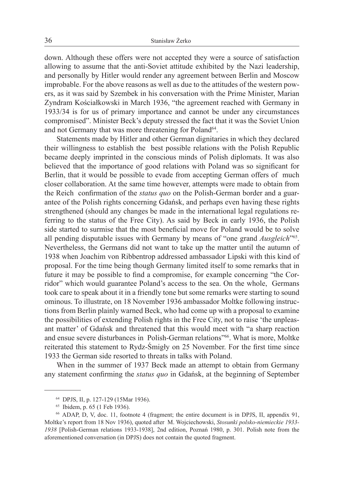down. Although these offers were not accepted they were a source of satisfaction allowing to assume that the anti-Soviet attitude exhibited by the Nazi leadership, and personally by Hitler would render any agreement between Berlin and Moscow improbable. For the above reasons as well as due to the attitudes of the western powers, as it was said by Szembek in his conversation with the Prime Minister, Marian Zyndram Kościałkowski in March 1936, "the agreement reached with Germany in 1933/34 is for us of primary importance and cannot be under any circumstances compromised". Minister Beck's deputy stressed the fact that it was the Soviet Union and not Germany that was more threatening for Poland<sup>64</sup>.

Statements made by Hitler and other German dignitaries in which they declared their willingness to establish the best possible relations with the Polish Republic became deeply imprinted in the conscious minds of Polish diplomats. It was also believed that the importance of good relations with Poland was so significant for Berlin, that it would be possible to evade from accepting German offers of much closer collaboration. At the same time however, attempts were made to obtain from the Reich confirmation of the *status quo* on the Polish-German border and a guarantee of the Polish rights concerning Gdańsk, and perhaps even having these rights strengthened (should any changes be made in the international legal regulations referring to the status of the Free City). As said by Beck in early 1936, the Polish side started to surmise that the most beneficial move for Poland would be to solve all pending disputable issues with Germany by means of "one grand *Ausgleich*"<sup>65</sup>. Nevertheless, the Germans did not want to take up the matter until the autumn of 1938 when Joachim von Ribbentrop addressed ambassador Lipski with this kind of proposal. For the time being though Germany limited itself to some remarks that in future it may be possible to find a compromise, for example concerning "the Corridor" which would guarantee Poland's access to the sea. On the whole, Germans took care to speak about it in a friendly tone but some remarks were starting to sound ominous. To illustrate, on 18 November 1936 ambassador Moltke following instructions from Berlin plainly warned Beck, who had come up with a proposal to examine the possibilities of extending Polish rights in the Free City, not to raise 'the unpleasant matter' of Gdańsk and threatened that this would meet with "a sharp reaction and ensue severe disturbances in Polish-German relations"<sup>66</sup>. What is more, Moltke reiterated this statement to Rydz-Śmigły on 25 November. For the first time since 1933 the German side resorted to threats in talks with Poland.

When in the summer of 1937 Beck made an attempt to obtain from Germany any statement confirming the *status quo* in Gdańsk, at the beginning of September

<sup>64</sup> DPJS, II, p. 127-129 (15Mar 1936).

<sup>65</sup> Ibidem, p. 65 (1 Feb 1936).

<sup>66</sup> ADAP, D, V, doc. 11, footnote 4 (fragment; the entire document is in DPJS, II, appendix 91, Moltke's report from 18 Nov 1936), quoted after M. Wojciechowski, *Stosunki polsko-niemieckie 1933- 1938* [Polish-German relations 1933-1938], 2nd edition, Poznań 1980, p. 301. Polish note from the aforementioned conversation (in DPJS) does not contain the quoted fragment.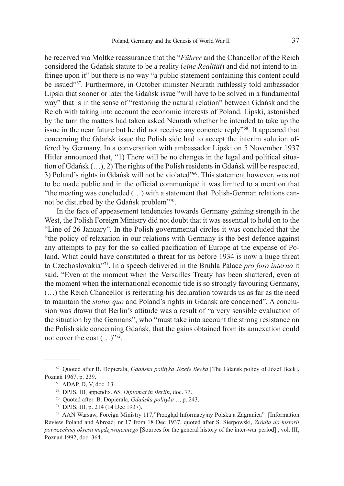he received via Moltke reassurance that the "*Führer* and the Chancellor of the Reich considered the Gdańsk statute to be a reality (*eine Realität*) and did not intend to infringe upon it" but there is no way "a public statement containing this content could be issued"67. Furthermore, in October minister Neurath ruthlessly told ambassador Lipski that sooner or later the Gdańsk issue "will have to be solved in a fundamental way" that is in the sense of "restoring the natural relation" between Gdańsk and the Reich with taking into account the economic interests of Poland. Lipski, astonished by the turn the matters had taken asked Neurath whether he intended to take up the issue in the near future but he did not receive any concrete reply"68. It appeared that concerning the Gdańsk issue the Polish side had to accept the interim solution offered by Germany. In a conversation with ambassador Lipski on 5 November 1937 Hitler announced that, "1) There will be no changes in the legal and political situation of Gdańsk (…), 2) The rights of the Polish residents in Gdańsk will be respected, 3) Poland's rights in Gdańsk will not be violated"<sup>69</sup>. This statement however, was not to be made public and in the official communiqué it was limited to a mention that "the meeting was concluded (…) with a statement that Polish-German relations cannot be disturbed by the Gdańsk problem"70.

In the face of appeasement tendencies towards Germany gaining strength in the West, the Polish Foreign Ministry did not doubt that it was essential to hold on to the "Line of 26 January". In the Polish governmental circles it was concluded that the "the policy of relaxation in our relations with Germany is the best defence against any attempts to pay for the so called pacification of Europe at the expense of Poland. What could have constituted a threat for us before 1934 is now a huge threat to Czechoslovakia"71. In a speech delivered in the Bruhla Palace *pro foro interno* it said, "Even at the moment when the Versailles Treaty has been shattered, even at the moment when the international economic tide is so strongly favouring Germany, (…) the Reich Chancellor is reiterating his declaration towards us as far as the need to maintain the *status quo* and Poland's rights in Gdańsk are concerned". A conclusion was drawn that Berlin's attitude was a result of "a very sensible evaluation of the situation by the Germans", who "must take into account the strong resistance on the Polish side concerning Gdańsk, that the gains obtained from its annexation could not cover the cost (…)"72.

<sup>67</sup> Quoted after B. Dopierała, *Gdańska polityka Józefe Becka* [The Gdańsk policy of Józef Beck], Poznań 1967, p. 239.

<sup>68</sup> ADAP, D, V, doc. 13.

<sup>69</sup> DPJS, III, appendix. 65; *Diplomat in Berlin*, doc. 73. 70 Quoted after B. Dopierała, *Gdańska polityka…*, p. 243.

<sup>71</sup> DPJS, III, p. 214 (14 Dec 1937).

<sup>72</sup> AAN Warsaw, Foreign Ministry 117,"Przegląd Informacyjny Polska a Zagranica" [Information Review Poland and Abroad] nr 17 from 18 Dec 1937, quoted after S. Sierpowski, *Źródła do historii powszechnej okresu międzywojennego* [Sources for the general history of the inter-war period] , vol. III, Poznań 1992, doc. 364.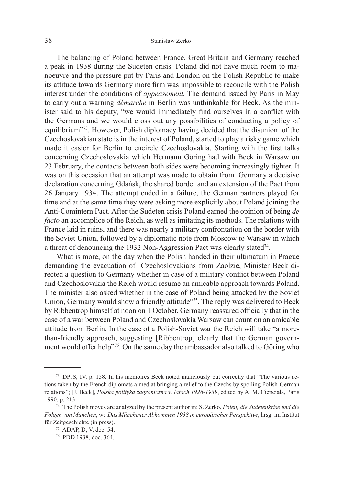The balancing of Poland between France, Great Britain and Germany reached a peak in 1938 during the Sudeten crisis. Poland did not have much room to manoeuvre and the pressure put by Paris and London on the Polish Republic to make its attitude towards Germany more firm was impossible to reconcile with the Polish interest under the conditions of *appeasement.* The demand issued by Paris in May to carry out a warning *démarche* in Berlin was unthinkable for Beck. As the minister said to his deputy, "we would immediately find ourselves in a conflict with the Germans and we would cross out any possibilities of conducting a policy of equilibrium"73. However, Polish diplomacy having decided that the disunion of the Czechoslovakian state is in the interest of Poland, started to play a risky game which made it easier for Berlin to encircle Czechoslovakia. Starting with the first talks concerning Czechoslovakia which Hermann Göring had with Beck in Warsaw on 23 February, the contacts between both sides were becoming increasingly tighter. It was on this occasion that an attempt was made to obtain from Germany a decisive declaration concerning Gdańsk, the shared border and an extension of the Pact from 26 January 1934. The attempt ended in a failure, the German partners played for time and at the same time they were asking more explicitly about Poland joining the Anti-Comintern Pact. After the Sudeten crisis Poland earned the opinion of being *de facto* an accomplice of the Reich, as well as imitating its methods. The relations with France laid in ruins, and there was nearly a military confrontation on the border with the Soviet Union, followed by a diplomatic note from Moscow to Warsaw in which a threat of denouncing the 1932 Non-Aggression Pact was clearly stated<sup>74</sup>.

What is more, on the day when the Polish handed in their ultimatum in Prague demanding the evacuation of Czechoslovakians from Zaolzie, Minister Beck directed a question to Germany whether in case of a military conflict between Poland and Czechoslovakia the Reich would resume an amicable approach towards Poland. The minister also asked whether in the case of Poland being attacked by the Soviet Union, Germany would show a friendly attitude"<sup>75</sup>. The reply was delivered to Beck by Ribbentrop himself at noon on 1 October. Germany reassured officially that in the case of a war between Poland and Czechoslovakia Warsaw can count on an amicable attitude from Berlin. In the case of a Polish-Soviet war the Reich will take "a morethan-friendly approach, suggesting [Ribbentrop] clearly that the German government would offer help"76. On the same day the ambassador also talked to Göring who

<sup>73</sup> DPJS, IV, p. 158. In his memoires Beck noted maliciously but correctly that "The various actions taken by the French diplomats aimed at bringing a relief to the Czechs by spoiling Polish-German relations"; [J. Beck], *Polska polityka zagraniczna w latach 1926-1939*, edited by A. M. Cienciała, Paris 1990, p. 213.

<sup>74</sup> The Polish moves are analyzed by the present author in: S. Żerko, *Polen, die Sudetenkrise und die Folgen von München*, w: *Das Münchener Abkommen 1938 in europäischer Perspektive*, hrsg. im Institut für Zeitgeschichte (in press).

<sup>75</sup> ADAP, D, V, doc. 54.

<sup>76</sup> PDD 1938, doc. 364.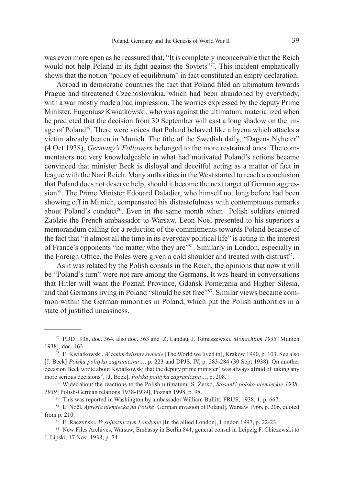was even more open as he reassured that, "It is completely inconceivable that the Reich would not help Poland in its fight against the Soviets"<sup>77</sup>. This incident emphatically shows that the notion "policy of equilibrium" in fact constituted an empty declaration.

Abroad in democratic countries the fact that Poland filed an ultimatum towards Prague and threatened Czechoslovakia, which had been abandoned by everybody, with a war mostly made a bad impression. The worries expressed by the deputy Prime Minister, Eugeniusz Kwiatkowski, who was against the ultimatum, materialized when he predicted that the decision from 30 September will cast a long shadow on the image of Poland78. There were voices that Poland behaved like a hyena which attacks a victim already beaten in Munich. The title of the Swedish daily, "Dagens Nyheter" (4 Oct 1938), *Germany's Followers* belonged to the more restrained ones. The commentators not very knowledgeable in what had motivated Poland's actions became convinced that minister Beck is disloyal and deceitful acting as a matter of fact in league with the Nazi Reich. Many authorities in the West started to reach a conclusion that Poland does not deserve help, should it become the next target of German aggres $sion^{79}$ . The Prime Minister Edouard Daladier, who himself not long before had been showing off in Munich, compensated his distastefulness with contemptuous remarks about Poland's conduct<sup>80</sup>. Even in the same month when Polish soldiers entered Zaolzie the French ambassador to Warsaw, Leon Noёl presented to his superiors a memorandum calling for a reduction of the commitments towards Poland because of the fact that "it almost all the time in its everyday political life" is acting in the interest of France's opponents "no matter who they are"81. Similarly in London, especially in the Foreign Office, the Poles were given a cold shoulder and treated with distrust<sup>82</sup>.

As it was related by the Polish consuls in the Reich, the opinions that now it will be "Poland's turn" were not rare among the Germans. It was heard in conversations that Hitler will want the Poznań Province, Gdańsk Pomerania and Higher Silesia, and that Germans living in Poland "should be set free"83. Similar views became common within the German minorities in Poland, which put the Polish authorities in a state of justified uneasiness.

<sup>77</sup> PDD 1938, doc. 364, also doc. 363 and Z. Landau, J. Tomaszewski, *Monachium 1938* [Munich 1938], doc. 463.

<sup>78</sup> E. Kwiatkowski, *W takim żyliśmy świecie* [The World we lived in], Kraków 1990, p. 103. See also [J. Beck] *Polska polityka zagraniczna…*, p. 223 and DPJS, IV, p. 283-284 (30 Sept 1938). On another occasion Beck wrote about Kwiatkowski that the deputy prime minister "was always afraid of taking any more serious decisions", [J. Beck], *Polska polityka zagraniczna…*, p. 208.

<sup>79</sup> Wider about the reactions to the Polish ultimatum: S. Żerko, *Stosunki polsko-niemieckie 1938- 1939* [Polish-German relations 1938-1939], Poznań 1998, p. 98.

<sup>&</sup>lt;sup>80</sup> This was reported in Washington by ambassador William Bullitt; FRUS, 1938, 1, p. 667.

<sup>81</sup> L. Noёl, *Agresja niemiecka na Polskę* [German invasion of Poland], Warsaw 1966, p. 206, quoted from p. 210.

<sup>82</sup> E. Raczyński, *W sojuszniczym Londynie* [In the allied London], London 1997, p. 22-23.

<sup>83</sup> New Files Archives, Warsaw, Embassy in Berlin 841, general consul in Leipzig F. Chiczewski to J. Lipski, 17 Nov 1938, p. 74.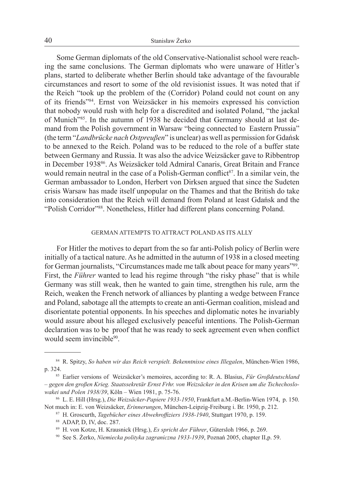Some German diplomats of the old Conservative-Nationalist school were reaching the same conclusions. The German diplomats who were unaware of Hitler's plans, started to deliberate whether Berlin should take advantage of the favourable circumstances and resort to some of the old revisionist issues. It was noted that if the Reich "took up the problem of the (Corridor) Poland could not count on any of its friends"84. Ernst von Weizsäcker in his memoirs expressed his conviction that nobody would rush with help for a discredited and isolated Poland, "the jackal of Munich"85. In the autumn of 1938 he decided that Germany should at last demand from the Polish government in Warsaw "being connected to Eastern Prussia" (the term "*Landbrücke nach Ostpreuβen*" is unclear) as well as permission for Gdańsk to be annexed to the Reich. Poland was to be reduced to the role of a buffer state between Germany and Russia. It was also the advice Weizsäcker gave to Ribbentrop in December 193886. As Weizsäcker told Admiral Canaris, Great Britain and France would remain neutral in the case of a Polish-German conflict<sup>87</sup>. In a similar vein, the German ambassador to London, Herbert von Dirksen argued that since the Sudeten crisis Warsaw has made itself unpopular on the Thames and that the British do take into consideration that the Reich will demand from Poland at least Gdańsk and the "Polish Corridor"88. Nonetheless, Hitler had different plans concerning Poland.

#### German attempts to attract Poland as its ally

For Hitler the motives to depart from the so far anti-Polish policy of Berlin were initially of a tactical nature. As he admitted in the autumn of 1938 in a closed meeting for German journalists, "Circumstances made me talk about peace for many years"89. First, the *Führer* wanted to lead his regime through "the risky phase" that is while Germany was still weak, then he wanted to gain time, strengthen his rule, arm the Reich, weaken the French network of alliances by planting a wedge between France and Poland, sabotage all the attempts to create an anti-German coalition, mislead and disorientate potential opponents. In his speeches and diplomatic notes he invariably would assure about his alleged exclusively peaceful intentions. The Polish-German declaration was to be proof that he was ready to seek agreement even when conflict would seem invincible<sup>90</sup>.

<sup>84</sup> R. Spitzy, *So haben wir das Reich verspielt. Bekenntnisse eines Illegalen*, München-Wien 1986, p. 324. 85 Earlier versions of Weizsäcker's memoires, according to: R. A. Blasius, *Für Groβdeutschland* 

*<sup>–</sup> gegen den groβen Krieg. Staatssekretär Ernst Frhr. von Weizsäcker in den Krisen um die Tschechoslowakei und Polen 1938/39*, Köln – Wien 1981, p. 75-76.

<sup>86</sup> L. E. Hill (Hrsg.), *Die Weizsäcker-Papiere 1933-1950*, Frankfurt a.M.-Berlin-Wien 1974, p. 150. Not much in: E. von Weizsäcker, *Erinnerungen*, München-Leipzig-Freiburg i. Br. 1950, p. 212.

<sup>87</sup> H. Groscurth, *Tagebücher eines Abwehroffiziers 1938-1940*, Stuttgart 1970, p. 159.

<sup>88</sup> ADAP, D, IV, doc. 287. 89 H. von Kotze, H. Krausnick (Hrsg.), *Es spricht der Führer*, Gütersloh 1966, p. 269.

<sup>90</sup> See S. Żerko, *Niemiecka polityka zagraniczna 1933-1939*, Poznań 2005, chapter II,p. 59.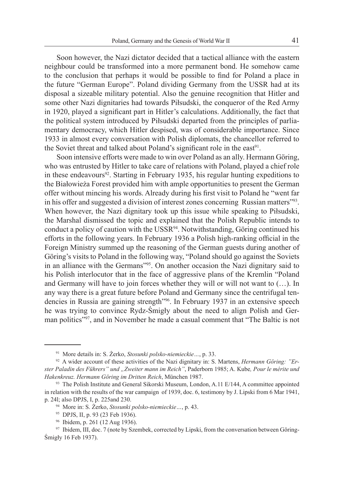Soon however, the Nazi dictator decided that a tactical alliance with the eastern neighbour could be transformed into a more permanent bond. He somehow came to the conclusion that perhaps it would be possible to find for Poland a place in the future "German Europe". Poland dividing Germany from the USSR had at its disposal a sizeable military potential. Also the genuine recognition that Hitler and some other Nazi dignitaries had towards Piłsudski, the conqueror of the Red Army in 1920, played a significant part in Hitler's calculations. Additionally, the fact that the political system introduced by Piłsudski departed from the principles of parliamentary democracy, which Hitler despised, was of considerable importance. Since 1933 in almost every conversation with Polish diplomats, the chancellor referred to the Soviet threat and talked about Poland's significant role in the east<sup>91</sup>.

Soon intensive efforts were made to win over Poland as an ally. Hermann Göring, who was entrusted by Hitler to take care of relations with Poland, played a chief role in these endeavours<sup>92</sup>. Starting in February 1935, his regular hunting expeditions to the Białowieża Forest provided him with ample opportunities to present the German offer without mincing his words. Already during his first visit to Poland he "went far in his offer and suggested a division of interest zones concerning Russian matters"<sup>93</sup>. When however, the Nazi dignitary took up this issue while speaking to Piłsudski, the Marshal dismissed the topic and explained that the Polish Republic intends to conduct a policy of caution with the USSR<sup>94</sup>. Notwithstanding, Göring continued his efforts in the following years. In February 1936 a Polish high-ranking official in the Foreign Ministry summed up the reasoning of the German guests during another of Göring's visits to Poland in the following way, "Poland should go against the Soviets in an alliance with the Germans"<sup>95</sup>. On another occasion the Nazi dignitary said to his Polish interlocutor that in the face of aggressive plans of the Kremlin "Poland and Germany will have to join forces whether they will or will not want to (…). In any way there is a great future before Poland and Germany since the centrifugal tendencies in Russia are gaining strength"<sup>96</sup>. In February 1937 in an extensive speech he was trying to convince Rydz-Śmigły about the need to align Polish and German politics"97, and in November he made a casual comment that "The Baltic is not

<sup>91</sup> More details in: S. Żerko, *Stosunki polsko-niemieckie…*, p. 33.

<sup>92</sup> A wider account of these activities of the Nazi dignitary in: S. Martens, *Hermann Göring: "Erster Paladin des Führers" und "Zweiter mann im Reich"*, Paderborn 1985; A. Kube*, Pour le mérite und Hakenkreuz. Hermann Göring im Dritten Reich*, München 1987.

<sup>93</sup> The Polish Institute and General Sikorski Museum, London, A.11 E/144, A committee appointed in relation with the results of the war campaign of 1939, doc. 6, testimony by J. Lipski from 6 Mar 1941, p. 24l; also DPJS, I, p. 225and 230.

<sup>94</sup> More in: S. Żerko, *Stosunki polsko-niemieckie…*, p. 43.

<sup>95</sup> DPJS, II, p. 93 (23 Feb 1936).

<sup>96</sup> Ibidem, p. 261 (12 Aug 1936).

<sup>97</sup> Ibidem, III, doc. 7 (note by Szembek, corrected by Lipski, from the conversation between Göring-Śmigły 16 Feb 1937).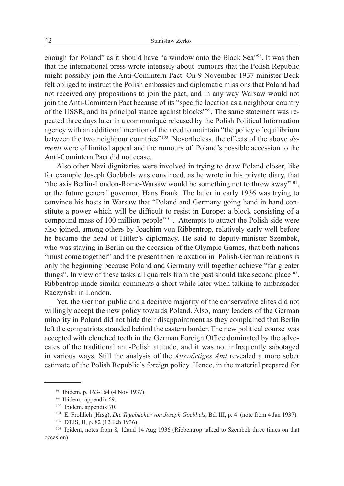enough for Poland" as it should have "a window onto the Black Sea"<sup>98</sup>. It was then that the international press wrote intensely about rumours that the Polish Republic might possibly join the Anti-Comintern Pact. On 9 November 1937 minister Beck felt obliged to instruct the Polish embassies and diplomatic missions that Poland had not received any propositions to join the pact, and in any way Warsaw would not join the Anti-Comintern Pact because of its "specific location as a neighbour country of the USSR, and its principal stance against blocks"99. The same statement was repeated three days later in a communiqué released by the Polish Political Information agency with an additional mention of the need to maintain "the policy of equilibrium between the two neighbour countries"100. Nevertheless, the effects of the above *dementi* were of limited appeal and the rumours of Poland's possible accession to the Anti-Comintern Pact did not cease.

Also other Nazi dignitaries were involved in trying to draw Poland closer, like for example Joseph Goebbels was convinced, as he wrote in his private diary, that "the axis Berlin-London-Rome-Warsaw would be something not to throw away"<sup>101</sup>, or the future general governor, Hans Frank. The latter in early 1936 was trying to convince his hosts in Warsaw that "Poland and Germany going hand in hand constitute a power which will be difficult to resist in Europe; a block consisting of a compound mass of 100 million people"<sup>102</sup>. Attempts to attract the Polish side were also joined, among others by Joachim von Ribbentrop, relatively early well before he became the head of Hitler's diplomacy. He said to deputy-minister Szembek, who was staying in Berlin on the occasion of the Olympic Games, that both nations "must come together" and the present then relaxation in Polish-German relations is only the beginning because Poland and Germany will together achieve "far greater things". In view of these tasks all quarrels from the past should take second place $103$ . Ribbentrop made similar comments a short while later when talking to ambassador Raczyński in London.

Yet, the German public and a decisive majority of the conservative elites did not willingly accept the new policy towards Poland. Also, many leaders of the German minority in Poland did not hide their disappointment as they complained that Berlin left the compatriots stranded behind the eastern border. The new political course was accepted with clenched teeth in the German Foreign Office dominated by the advocates of the traditional anti-Polish attitude, and it was not infrequently sabotaged in various ways. Still the analysis of the *Auswärtiges Amt* revealed a more sober estimate of the Polish Republic's foreign policy. Hence, in the material prepared for

<sup>98</sup> Ibidem, p. 163-164 (4 Nov 1937).

<sup>99</sup> Ibidem, appendix 69.

<sup>100</sup> Ibidem, appendix 70.

<sup>101</sup> E. Frohlich (Hrsg), *Die Tagebücher von Joseph Goebbels*, Bd. III, p. 4 (note from 4 Jan 1937).

<sup>102</sup> DTJS, II, p. 82 (12 Feb 1936).

<sup>&</sup>lt;sup>103</sup> Ibidem, notes from 8, 12and 14 Aug 1936 (Ribbentrop talked to Szembek three times on that occasion).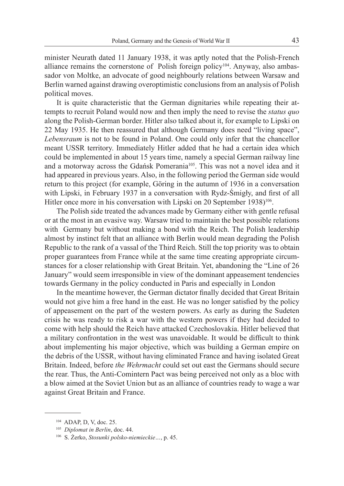minister Neurath dated 11 January 1938, it was aptly noted that the Polish-French alliance remains the cornerstone of Polish foreign policy<sup>104</sup>. Anyway, also ambassador von Moltke, an advocate of good neighbourly relations between Warsaw and Berlin warned against drawing overoptimistic conclusions from an analysis of Polish political moves.

It is quite characteristic that the German dignitaries while repeating their attempts to recruit Poland would now and then imply the need to revise the *status quo* along the Polish-German border. Hitler also talked about it, for example to Lipski on 22 May 1935. He then reassured that although Germany does need "living space", *Lebensraum* is not to be found in Poland. One could only infer that the chancellor meant USSR territory. Immediately Hitler added that he had a certain idea which could be implemented in about 15 years time, namely a special German railway line and a motorway across the Gdańsk Pomerania<sup>105</sup>. This was not a novel idea and it had appeared in previous years. Also, in the following period the German side would return to this project (for example, Göring in the autumn of 1936 in a conversation with Lipski, in February 1937 in a conversation with Rydz-Śmigły, and first of all Hitler once more in his conversation with Lipski on 20 September 1938)<sup>106</sup>.

The Polish side treated the advances made by Germany either with gentle refusal or at the most in an evasive way. Warsaw tried to maintain the best possible relations with Germany but without making a bond with the Reich. The Polish leadership almost by instinct felt that an alliance with Berlin would mean degrading the Polish Republic to the rank of a vassal of the Third Reich. Still the top priority was to obtain proper guarantees from France while at the same time creating appropriate circumstances for a closer relationship with Great Britain. Yet, abandoning the "Line of 26 January" would seem irresponsible in view of the dominant appeasement tendencies towards Germany in the policy conducted in Paris and especially in London

In the meantime however, the German dictator finally decided that Great Britain would not give him a free hand in the east. He was no longer satisfied by the policy of appeasement on the part of the western powers. As early as during the Sudeten crisis he was ready to risk a war with the western powers if they had decided to come with help should the Reich have attacked Czechoslovakia. Hitler believed that a military confrontation in the west was unavoidable. It would be difficult to think about implementing his major objective, which was building a German empire on the debris of the USSR, without having eliminated France and having isolated Great Britain. Indeed, before *the Wehrmacht* could set out east the Germans should secure the rear. Thus, the Anti-Comintern Pact was being perceived not only as a bloc with a blow aimed at the Soviet Union but as an alliance of countries ready to wage a war against Great Britain and France.

<sup>104</sup> ADAP, D, V, doc. 25.

<sup>105</sup> *Diplomat in Berlin*, doc. 44.

<sup>106</sup> S. Żerko, *Stosunki polsko-niemieckie…*, p. 45.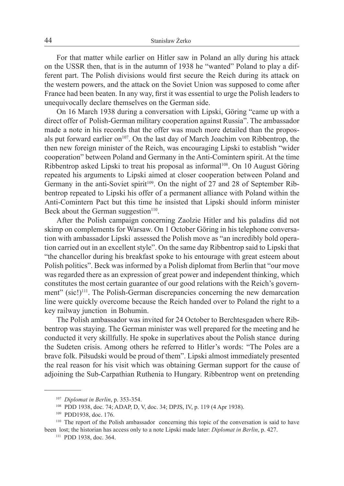For that matter while earlier on Hitler saw in Poland an ally during his attack on the USSR then, that is in the autumn of 1938 he "wanted" Poland to play a different part. The Polish divisions would first secure the Reich during its attack on the western powers, and the attack on the Soviet Union was supposed to come after France had been beaten. In any way, first it was essential to urge the Polish leaders to unequivocally declare themselves on the German side.

On 16 March 1938 during a conversation with Lipski, Göring "came up with a direct offer of Polish-German military cooperation against Russia". The ambassador made a note in his records that the offer was much more detailed than the proposals put forward earlier on<sup>107</sup>. On the last day of March Joachim von Ribbentrop, the then new foreign minister of the Reich, was encouraging Lipski to establish "wider cooperation" between Poland and Germany in the Anti-Comintern spirit. At the time Ribbentrop asked Lipski to treat his proposal as informal<sup>108</sup>. On 10 August Göring repeated his arguments to Lipski aimed at closer cooperation between Poland and Germany in the anti-Soviet spirit<sup>109</sup>. On the night of 27 and 28 of September Ribbentrop repeated to Lipski his offer of a permanent alliance with Poland within the Anti-Comintern Pact but this time he insisted that Lipski should inform minister Beck about the German suggestion $110$ .

After the Polish campaign concerning Zaolzie Hitler and his paladins did not skimp on complements for Warsaw. On 1 October Göring in his telephone conversation with ambassador Lipski assessed the Polish move as "an incredibly bold operation carried out in an excellent style". On the same day Ribbentrop said to Lipski that "the chancellor during his breakfast spoke to his entourage with great esteem about Polish politics". Beck was informed by a Polish diplomat from Berlin that "our move was regarded there as an expression of great power and independent thinking, which constitutes the most certain guarantee of our good relations with the Reich's government" (sic!)<sup>111</sup>. The Polish-German discrepancies concerning the new demarcation line were quickly overcome because the Reich handed over to Poland the right to a key railway junction in Bohumin.

The Polish ambassador was invited for 24 October to Berchtesgaden where Ribbentrop was staying. The German minister was well prepared for the meeting and he conducted it very skillfully. He spoke in superlatives about the Polish stance during the Sudeten crisis. Among others he referred to Hitler's words: "The Poles are a brave folk. Piłsudski would be proud of them". Lipski almost immediately presented the real reason for his visit which was obtaining German support for the cause of adjoining the Sub-Carpathian Ruthenia to Hungary. Ribbentrop went on pretending

<sup>107</sup> *Diplomat in Berlin*, p. 353-354.

<sup>108</sup> PDD 1938, doc. 74; ADAP, D, V, doc. 34; DPJS, IV, p. 119 (4 Apr 1938).

<sup>109</sup> PDD1938, doc. 176.

<sup>&</sup>lt;sup>110</sup> The report of the Polish ambassador concerning this topic of the conversation is said to have been lost; the historian has access only to a note Lipski made later: *Diplomat in Berlin*, p. 427.

<sup>111</sup> PDD 1938, doc. 364.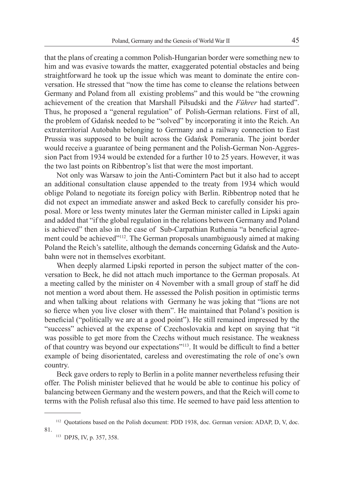that the plans of creating a common Polish-Hungarian border were something new to him and was evasive towards the matter, exaggerated potential obstacles and being straightforward he took up the issue which was meant to dominate the entire conversation. He stressed that "now the time has come to cleanse the relations between Germany and Poland from all existing problems" and this would be "the crowning achievement of the creation that Marshall Piłsudski and the *Führer* had started". Thus, he proposed a "general regulation" of Polish-German relations. First of all, the problem of Gdańsk needed to be "solved" by incorporating it into the Reich. An extraterritorial Autobahn belonging to Germany and a railway connection to East Prussia was supposed to be built across the Gdańsk Pomerania. The joint border would receive a guarantee of being permanent and the Polish-German Non-Aggression Pact from 1934 would be extended for a further 10 to 25 years. However, it was the two last points on Ribbentrop's list that were the most important.

Not only was Warsaw to join the Anti-Comintern Pact but it also had to accept an additional consultation clause appended to the treaty from 1934 which would oblige Poland to negotiate its foreign policy with Berlin. Ribbentrop noted that he did not expect an immediate answer and asked Beck to carefully consider his proposal. More or less twenty minutes later the German minister called in Lipski again and added that "if the global regulation in the relations between Germany and Poland is achieved" then also in the case of Sub-Carpathian Ruthenia "a beneficial agreement could be achieved<sup>"112</sup>. The German proposals unambiguously aimed at making Poland the Reich's satellite, although the demands concerning Gdańsk and the Autobahn were not in themselves exorbitant.

When deeply alarmed Lipski reported in person the subject matter of the conversation to Beck, he did not attach much importance to the German proposals. At a meeting called by the minister on 4 November with a small group of staff he did not mention a word about them. He assessed the Polish position in optimistic terms and when talking about relations with Germany he was joking that "lions are not so fierce when you live closer with them". He maintained that Poland's position is beneficial ("politically we are at a good point"). He still remained impressed by the "success" achieved at the expense of Czechoslovakia and kept on saying that "it was possible to get more from the Czechs without much resistance. The weakness of that country was beyond our expectations"<sup>113</sup>. It would be difficult to find a better example of being disorientated, careless and overestimating the role of one's own country.

Beck gave orders to reply to Berlin in a polite manner nevertheless refusing their offer. The Polish minister believed that he would be able to continue his policy of balancing between Germany and the western powers, and that the Reich will come to terms with the Polish refusal also this time. He seemed to have paid less attention to

<sup>&</sup>lt;sup>112</sup> Quotations based on the Polish document: PDD 1938, doc. German version: ADAP, D, V, doc. 81.

<sup>113</sup> DPJS, IV, p. 357, 358.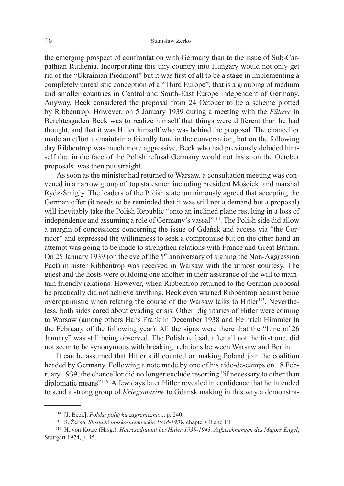the emerging prospect of confrontation with Germany than to the issue of Sub-Carpathian Ruthenia. Incorporating this tiny country into Hungary would not only get rid of the "Ukrainian Piedmont" but it was first of all to be a stage in implementing a completely unrealistic conception of a "Third Europe", that is a grouping of medium and smaller countries in Central and South-East Europe independent of Germany. Anyway, Beck considered the proposal from 24 October to be a scheme plotted by Ribbentrop. However, on 5 January 1939 during a meeting with the *Führer* in Berchtesgaden Beck was to realize himself that things were different than he had thought, and that it was Hitler himself who was behind the proposal. The chancellor made an effort to maintain a friendly tone in the conversation, but on the following day Ribbentrop was much more aggressive. Beck who had previously deluded himself that in the face of the Polish refusal Germany would not insist on the October proposals was then put straight.

As soon as the minister had returned to Warsaw, a consultation meeting was convened in a narrow group of top statesmen including president Mościcki and marshal Rydz-Śmigły. The leaders of the Polish state unanimously agreed that accepting the German offer (it needs to be reminded that it was still not a demand but a proposal) will inevitably take the Polish Republic "onto an inclined plane resulting in a loss of independence and assuming a role of Germany's vassal"<sup>114</sup>. The Polish side did allow a margin of concessions concerning the issue of Gdańsk and access via "the Corridor" and expressed the willingness to seek a compromise but on the other hand an attempt was going to be made to strengthen relations with France and Great Britain. On 25 January 1939 (on the eve of the  $5<sup>th</sup>$  anniversary of signing the Non-Aggression Pact) minister Ribbentrop was received in Warsaw with the utmost courtesy. The guest and the hosts were outdoing one another in their assurance of the will to maintain friendly relations. However, when Ribbentrop returned to the German proposal he practically did not achieve anything. Beck even warned Ribbentrop against being overoptimistic when relating the course of the Warsaw talks to Hitler<sup>115</sup>. Nevertheless, both sides cared about evading crisis. Other dignitaries of Hitler were coming to Warsaw (among others Hans Frank in December 1938 and Heinrich Himmler in the February of the following year). All the signs were there that the "Line of 26 January" was still being observed. The Polish refusal, after all not the first one, did not seem to be synonymous with breaking relations between Warsaw and Berlin.

It can be assumed that Hitler still counted on making Poland join the coalition headed by Germany. Following a note made by one of his aide-de-camps on 18 February 1939, the chancellor did no longer exclude resorting "if necessary to other than diplomatic means"<sup>116</sup>. A few days later Hitler revealed in confidence that he intended to send a strong group of *Kriegsmarine* to Gdańsk making in this way a demonstra-

<sup>114</sup> [J. Beck], *Polska polityka zagraniczna*..., p. 240.

<sup>115</sup> S. Żerko, *Stosunki polsko-niemieckie 1938-1939*, chapters II and III.

<sup>116</sup> H. von Kotze (Hrsg.), *Heeresadjutant bei Hitler 1938-1943. Aufzeichnungen des Majors Engel*, Stuttgart 1974, p. 45.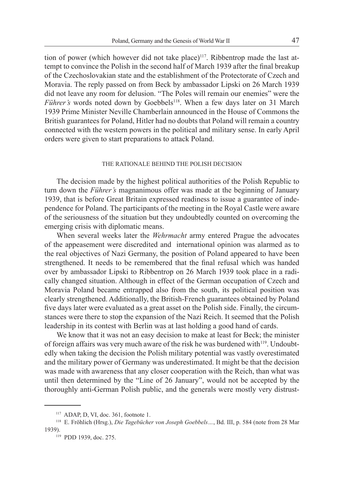tion of power (which however did not take place)<sup>117</sup>. Ribbentrop made the last attempt to convince the Polish in the second half of March 1939 after the final breakup of the Czechoslovakian state and the establishment of the Protectorate of Czech and Moravia. The reply passed on from Beck by ambassador Lipski on 26 March 1939 did not leave any room for delusion. "The Poles will remain our enemies" were the *Führer's* words noted down by Goebbels<sup>118</sup>. When a few days later on 31 March 1939 Prime Minister Neville Chamberlain announced in the House of Commons the British guarantees for Poland, Hitler had no doubts that Poland will remain a country connected with the western powers in the political and military sense. In early April orders were given to start preparations to attack Poland.

#### The rationale behind the Polish decision

The decision made by the highest political authorities of the Polish Republic to turn down the *Führer's* magnanimous offer was made at the beginning of January 1939, that is before Great Britain expressed readiness to issue a guarantee of independence for Poland. The participants of the meeting in the Royal Castle were aware of the seriousness of the situation but they undoubtedly counted on overcoming the emerging crisis with diplomatic means.

When several weeks later the *Wehrmacht* army entered Prague the advocates of the appeasement were discredited and international opinion was alarmed as to the real objectives of Nazi Germany, the position of Poland appeared to have been strengthened. It needs to be remembered that the final refusal which was handed over by ambassador Lipski to Ribbentrop on 26 March 1939 took place in a radically changed situation. Although in effect of the German occupation of Czech and Moravia Poland became entrapped also from the south, its political position was clearly strengthened. Additionally, the British-French guarantees obtained by Poland five days later were evaluated as a great asset on the Polish side. Finally, the circumstances were there to stop the expansion of the Nazi Reich. It seemed that the Polish leadership in its contest with Berlin was at last holding a good hand of cards.

We know that it was not an easy decision to make at least for Beck; the minister of foreign affairs was very much aware of the risk he was burdened with<sup>119</sup>. Undoubtedly when taking the decision the Polish military potential was vastly overestimated and the military power of Germany was underestimated. It might be that the decision was made with awareness that any closer cooperation with the Reich, than what was until then determined by the "Line of 26 January", would not be accepted by the thoroughly anti-German Polish public, and the generals were mostly very distrust-

<sup>117</sup> ADAP, D, VI, doc. 361, footnote 1.

<sup>118</sup> E. Fröhlich (Hrsg.), *Die Tagebücher von Joseph Goebbels…*, Bd. III, p. 584 (note from 28 Mar 1939).

<sup>&</sup>lt;sup>119</sup> PDD 1939, doc. 275.